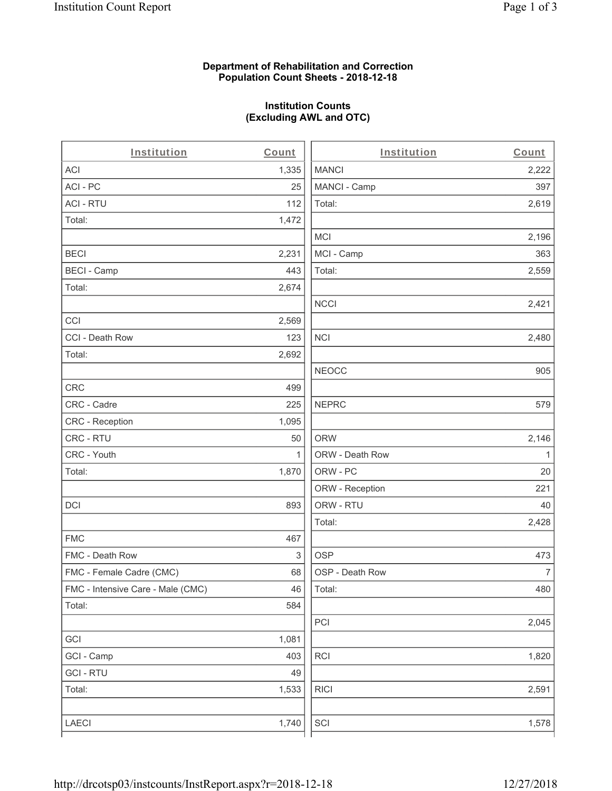## **Department of Rehabilitation and Correction Population Count Sheets - 2018-12-18**

# **Institution Counts (Excluding AWL and OTC)**

| Institution                       | Count        | Institution     | Count        |
|-----------------------------------|--------------|-----------------|--------------|
| ACI                               | 1,335        | <b>MANCI</b>    | 2,222        |
| ACI - PC                          | 25           | MANCI - Camp    | 397          |
| <b>ACI - RTU</b>                  | 112          | Total:          | 2,619        |
| Total:                            | 1,472        |                 |              |
|                                   |              | <b>MCI</b>      | 2,196        |
| <b>BECI</b>                       | 2,231        | MCI - Camp      | 363          |
| <b>BECI - Camp</b>                | 443          | Total:          | 2,559        |
| Total:                            | 2,674        |                 |              |
|                                   |              | <b>NCCI</b>     | 2,421        |
| CCI                               | 2,569        |                 |              |
| CCI - Death Row                   | 123          | <b>NCI</b>      | 2,480        |
| Total:                            | 2,692        |                 |              |
|                                   |              | <b>NEOCC</b>    | 905          |
| CRC                               | 499          |                 |              |
| CRC - Cadre                       | 225          | <b>NEPRC</b>    | 579          |
| CRC - Reception                   | 1,095        |                 |              |
| CRC - RTU                         | 50           | <b>ORW</b>      | 2,146        |
| CRC - Youth                       | $\mathbf{1}$ | ORW - Death Row | $\mathbf{1}$ |
| Total:                            | 1,870        | ORW - PC        | 20           |
|                                   |              | ORW - Reception | 221          |
| DCI                               | 893          | ORW - RTU       | 40           |
|                                   |              | Total:          | 2,428        |
| <b>FMC</b>                        | 467          |                 |              |
| FMC - Death Row                   | 3            | <b>OSP</b>      | 473          |
| FMC - Female Cadre (CMC)          | 68           | OSP - Death Row | 7            |
| FMC - Intensive Care - Male (CMC) | 46           | Total:          | 480          |
| Total:                            | 584          |                 |              |
|                                   |              | PCI             | 2,045        |
| GCI                               | 1,081        |                 |              |
| GCI - Camp                        | 403          | RCI             | 1,820        |
| <b>GCI - RTU</b>                  | 49           |                 |              |
| Total:                            | 1,533        | <b>RICI</b>     | 2,591        |
|                                   |              |                 |              |
| LAECI                             | 1,740        | SCI             | 1,578        |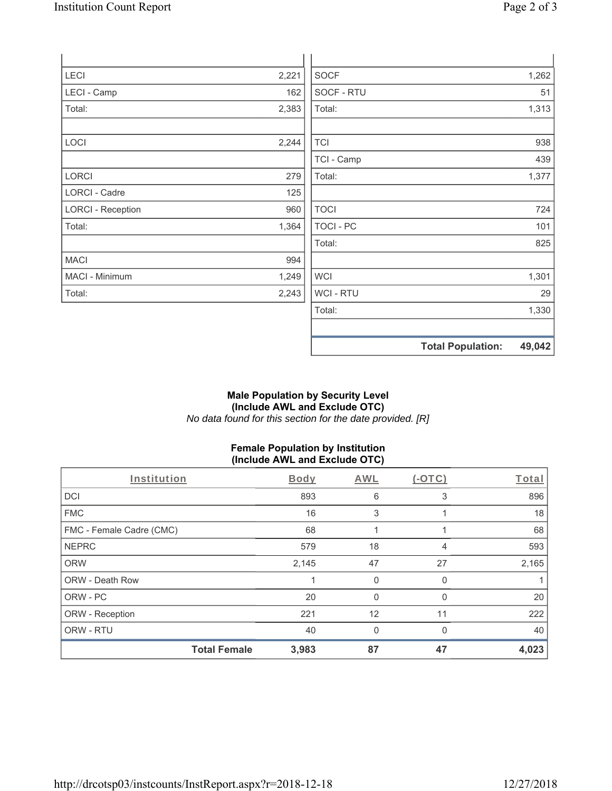| <b>LECI</b>              | 2,221 | <b>SOCF</b>      |                          | 1,262  |
|--------------------------|-------|------------------|--------------------------|--------|
| LECI - Camp              | 162   | SOCF - RTU       |                          | 51     |
| Total:                   | 2,383 | Total:           |                          | 1,313  |
| LOCI                     | 2,244 | <b>TCI</b>       |                          | 938    |
|                          |       | TCI - Camp       |                          | 439    |
| LORCI                    | 279   | Total:           |                          | 1,377  |
| LORCI - Cadre            | 125   |                  |                          |        |
| <b>LORCI - Reception</b> | 960   | <b>TOCI</b>      |                          | 724    |
| Total:                   | 1,364 | <b>TOCI - PC</b> |                          | 101    |
|                          |       | Total:           |                          | 825    |
| <b>MACI</b>              | 994   |                  |                          |        |
| MACI - Minimum           | 1,249 | <b>WCI</b>       |                          | 1,301  |
| Total:                   | 2,243 | <b>WCI-RTU</b>   |                          | 29     |
|                          |       | Total:           |                          | 1,330  |
|                          |       |                  | <b>Total Population:</b> | 49,042 |

## **Male Population by Security Level (Include AWL and Exclude OTC)**  *No data found for this section for the date provided. [R]*

# **Female Population by Institution (Include AWL and Exclude OTC)**

| Institution              | Body                         | <b>AWL</b>   | $(-OTC)$ | Total |
|--------------------------|------------------------------|--------------|----------|-------|
| <b>DCI</b>               | 893                          | 6            | 3        | 896   |
| <b>FMC</b>               |                              | 16<br>3      |          | 18    |
| FMC - Female Cadre (CMC) | 68                           |              |          | 68    |
| <b>NEPRC</b>             | 579                          | 18           | 4        | 593   |
| <b>ORW</b>               | 2,145                        | 47           | 27       | 2,165 |
| <b>ORW - Death Row</b>   |                              | $\mathbf 0$  | 0        |       |
| ORW - PC                 | 20                           | 0            | 0        | 20    |
| ORW - Reception          | 221                          | 12           | 11       | 222   |
| ORW - RTU                | 40                           | $\mathbf{0}$ | $\Omega$ | 40    |
|                          | <b>Total Female</b><br>3,983 | 87           | 47       | 4,023 |